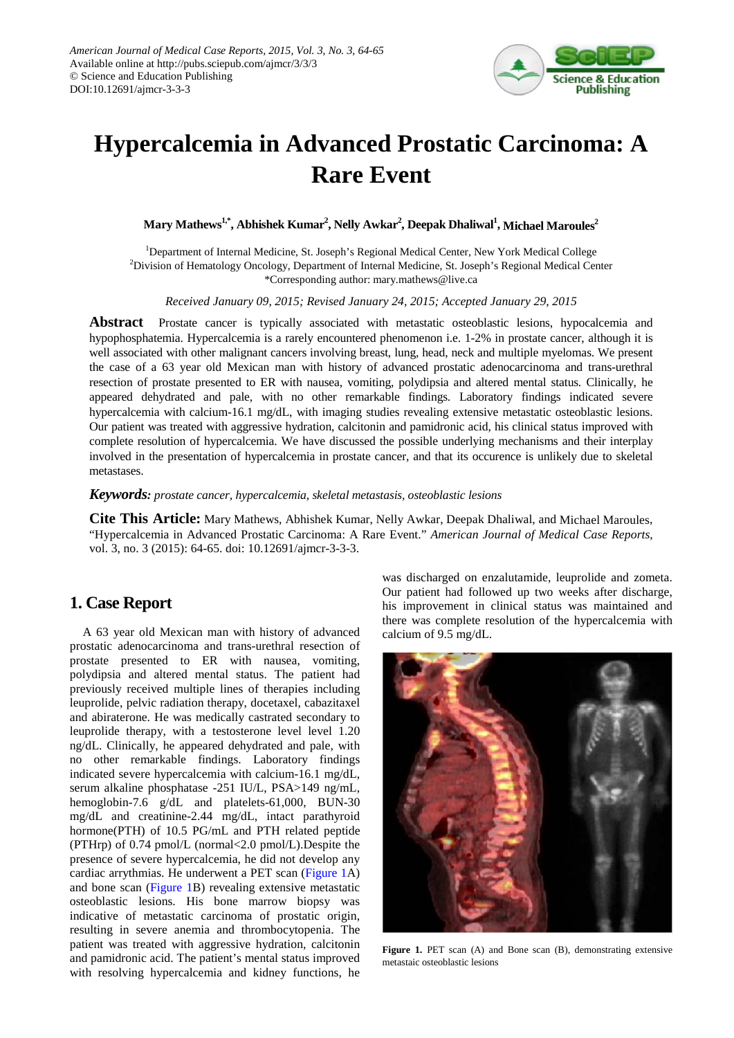

## **Hypercalcemia in Advanced Prostatic Carcinoma: A Rare Event**

 $\mathbf{Mary\ Mathews}^{1,*}, \mathbf{Abhishek\ Kumar}^{2}, \mathbf{Nelly\ Avkar}^{2}, \mathbf{Deepak\ Dhaliwal}^{1}, \mathbf{Michael\ Maroules}^{2}$ 

<sup>1</sup>Department of Internal Medicine, St. Joseph's Regional Medical Center, New York Medical College <sup>2</sup>Division of Hematology Oncology, Department of Internal Medicine, St. Joseph's Regional Medical Center \*Corresponding author: mary.mathews@live.ca

*Received January 09, 2015; Revised January 24, 2015; Accepted January 29, 2015*

**Abstract** Prostate cancer is typically associated with metastatic osteoblastic lesions, hypocalcemia and hypophosphatemia. Hypercalcemia is a rarely encountered phenomenon i.e. 1-2% in prostate cancer, although it is well associated with other malignant cancers involving breast, lung, head, neck and multiple myelomas. We present the case of a 63 year old Mexican man with history of advanced prostatic adenocarcinoma and trans-urethral resection of prostate presented to ER with nausea, vomiting, polydipsia and altered mental status. Clinically, he appeared dehydrated and pale, with no other remarkable findings. Laboratory findings indicated severe hypercalcemia with calcium-16.1 mg/dL, with imaging studies revealing extensive metastatic osteoblastic lesions. Our patient was treated with aggressive hydration, calcitonin and pamidronic acid, his clinical status improved with complete resolution of hypercalcemia. We have discussed the possible underlying mechanisms and their interplay involved in the presentation of hypercalcemia in prostate cancer, and that its occurence is unlikely due to skeletal metastases.

*Keywords: prostate cancer, hypercalcemia, skeletal metastasis, osteoblastic lesions*

**Cite This Article:** Mary Mathews, Abhishek Kumar, Nelly Awkar, Deepak Dhaliwal, and Michael Maroules, "Hypercalcemia in Advanced Prostatic Carcinoma: A Rare Event." *American Journal of Medical Case Reports*, vol. 3, no. 3 (2015): 64-65. doi: 10.12691/ajmcr-3-3-3.

## **1. Case Report**

A 63 year old Mexican man with history of advanced prostatic adenocarcinoma and trans-urethral resection of prostate presented to ER with nausea, vomiting, polydipsia and altered mental status. The patient had previously received multiple lines of therapies including leuprolide, pelvic radiation therapy, docetaxel, cabazitaxel and abiraterone. He was medically castrated secondary to leuprolide therapy, with a testosterone level level 1.20 ng/dL. Clinically, he appeared dehydrated and pale, with no other remarkable findings. Laboratory findings indicated severe hypercalcemia with calcium-16.1 mg/dL, serum alkaline phosphatase -251 IU/L, PSA>149 ng/mL, hemoglobin-7.6 g/dL and platelets-61,000, BUN-30 mg/dL and creatinine-2.44 mg/dL, intact parathyroid hormone(PTH) of 10.5 PG/mL and PTH related peptide (PTHrp) of 0.74 pmol/L (normal<2.0 pmol/L).Despite the presence of severe hypercalcemia, he did not develop any cardiac arrythmias. He underwent a PET scan [\(Figure 1A](#page-0-0)) and bone scan [\(Figure 1B](#page-0-0)) revealing extensive metastatic osteoblastic lesions. His bone marrow biopsy was indicative of metastatic carcinoma of prostatic origin, resulting in severe anemia and thrombocytopenia. The patient was treated with aggressive hydration, calcitonin and pamidronic acid. The patient's mental status improved with resolving hypercalcemia and kidney functions, he

was discharged on enzalutamide, leuprolide and zometa. Our patient had followed up two weeks after discharge, his improvement in clinical status was maintained and there was complete resolution of the hypercalcemia with calcium of 9.5 mg/dL.

<span id="page-0-0"></span>

Figure 1. PET scan (A) and Bone scan (B), demonstrating extensive metastaic osteoblastic lesions